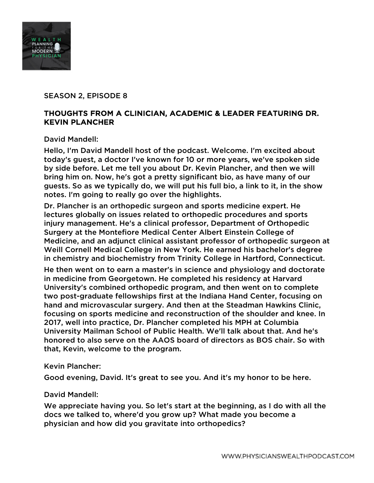

## SEASON 2, EPISODE 8

# THOUGHTS FROM A CLINICIAN, ACADEMIC & LEADER FEATURING DR. KEVIN PLANCHER

David Mandell:

Hello, I'm David Mandell host of the podcast. Welcome. I'm excited about today's guest, a doctor I've known for 10 or more years, we've spoken side by side before. Let me tell you about Dr. Kevin Plancher, and then we will bring him on. Now, he's got a pretty significant bio, as have many of our guests. So as we typically do, we will put his full bio, a link to it, in the show notes. I'm going to really go over the highlights.

Dr. Plancher is an orthopedic surgeon and sports medicine expert. He lectures globally on issues related to orthopedic procedures and sports injury management. He's a clinical professor, Department of Orthopedic Surgery at the Montefiore Medical Center Albert Einstein College of Medicine, and an adjunct clinical assistant professor of orthopedic surgeon at Weill Cornell Medical College in New York. He earned his bachelor's degree in chemistry and biochemistry from Trinity College in Hartford, Connecticut.

He then went on to earn a master's in science and physiology and doctorate in medicine from Georgetown. He completed his residency at Harvard University's combined orthopedic program, and then went on to complete two post-graduate fellowships first at the Indiana Hand Center, focusing on hand and microvascular surgery. And then at the Steadman Hawkins Clinic, focusing on sports medicine and reconstruction of the shoulder and knee. In 2017, well into practice, Dr. Plancher completed his MPH at Columbia University Mailman School of Public Health. We'll talk about that. And he's honored to also serve on the AAOS board of directors as BOS chair. So with that, Kevin, welcome to the program.

### Kevin Plancher:

Good evening, David. It's great to see you. And it's my honor to be here.

### David Mandell:

We appreciate having you. So let's start at the beginning, as I do with all the docs we talked to, where'd you grow up? What made you become a physician and how did you gravitate into orthopedics?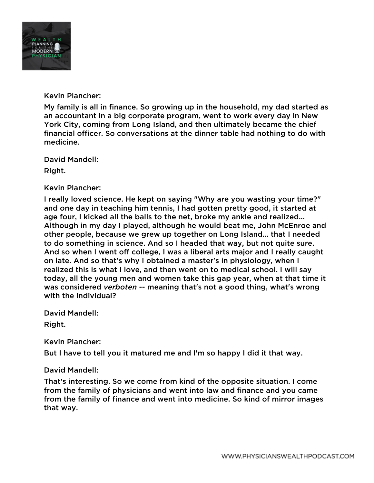

Kevin Plancher:

My family is all in finance. So growing up in the household, my dad started as an accountant in a big corporate program, went to work every day in New York City, coming from Long Island, and then ultimately became the chief financial officer. So conversations at the dinner table had nothing to do with medicine.

David Mandell:

Right.

Kevin Plancher:

I really loved science. He kept on saying "Why are you wasting your time?" and one day in teaching him tennis, I had gotten pretty good, it started at age four, I kicked all the balls to the net, broke my ankle and realized... Although in my day I played, although he would beat me, John McEnroe and other people, because we grew up together on Long Island... that I needed to do something in science. And so I headed that way, but not quite sure. And so when I went off college, I was a liberal arts major and I really caught on late. And so that's why I obtained a master's in physiology, when I realized this is what I love, and then went on to medical school. I will say today, all the young men and women take this gap year, when at that time it was considered *verboten* -- meaning that's not a good thing, what's wrong with the individual?

David Mandell:

Right.

Kevin Plancher:

But I have to tell you it matured me and I'm so happy I did it that way.

### David Mandell:

That's interesting. So we come from kind of the opposite situation. I come from the family of physicians and went into law and finance and you came from the family of finance and went into medicine. So kind of mirror images that way.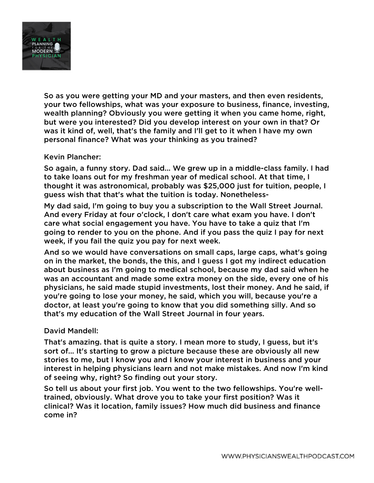

So as you were getting your MD and your masters, and then even residents, your two fellowships, what was your exposure to business, finance, investing, wealth planning? Obviously you were getting it when you came home, right, but were you interested? Did you develop interest on your own in that? Or was it kind of, well, that's the family and I'll get to it when I have my own personal finance? What was your thinking as you trained?

## Kevin Plancher:

So again, a funny story. Dad said... We grew up in a middle-class family. I had to take loans out for my freshman year of medical school. At that time, I thought it was astronomical, probably was \$25,000 just for tuition, people, I guess wish that that's what the tuition is today. Nonetheless-

My dad said, I'm going to buy you a subscription to the Wall Street Journal. And every Friday at four o'clock, I don't care what exam you have. I don't care what social engagement you have. You have to take a quiz that I'm going to render to you on the phone. And if you pass the quiz I pay for next week, if you fail the quiz you pay for next week.

And so we would have conversations on small caps, large caps, what's going on in the market, the bonds, the this, and I guess I got my indirect education about business as I'm going to medical school, because my dad said when he was an accountant and made some extra money on the side, every one of his physicians, he said made stupid investments, lost their money. And he said, if you're going to lose your money, he said, which you will, because you're a doctor, at least you're going to know that you did something silly. And so that's my education of the Wall Street Journal in four years.

### David Mandell:

That's amazing. that is quite a story. I mean more to study, I guess, but it's sort of... It's starting to grow a picture because these are obviously all new stories to me, but I know you and I know your interest in business and your interest in helping physicians learn and not make mistakes. And now I'm kind of seeing why, right? So finding out your story.

So tell us about your first job. You went to the two fellowships. You're welltrained, obviously. What drove you to take your first position? Was it clinical? Was it location, family issues? How much did business and finance come in?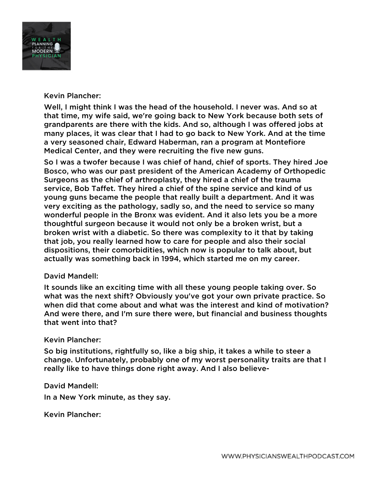

## Kevin Plancher:

Well, I might think I was the head of the household. I never was. And so at that time, my wife said, we're going back to New York because both sets of grandparents are there with the kids. And so, although I was offered jobs at many places, it was clear that I had to go back to New York. And at the time a very seasoned chair, Edward Haberman, ran a program at Montefiore Medical Center, and they were recruiting the five new guns.

So I was a twofer because I was chief of hand, chief of sports. They hired Joe Bosco, who was our past president of the American Academy of Orthopedic Surgeons as the chief of arthroplasty, they hired a chief of the trauma service, Bob Taffet. They hired a chief of the spine service and kind of us young guns became the people that really built a department. And it was very exciting as the pathology, sadly so, and the need to service so many wonderful people in the Bronx was evident. And it also lets you be a more thoughtful surgeon because it would not only be a broken wrist, but a broken wrist with a diabetic. So there was complexity to it that by taking that job, you really learned how to care for people and also their social dispositions, their comorbidities, which now is popular to talk about, but actually was something back in 1994, which started me on my career.

### David Mandell:

It sounds like an exciting time with all these young people taking over. So what was the next shift? Obviously you've got your own private practice. So when did that come about and what was the interest and kind of motivation? And were there, and I'm sure there were, but financial and business thoughts that went into that?

### Kevin Plancher:

So big institutions, rightfully so, like a big ship, it takes a while to steer a change. Unfortunately, probably one of my worst personality traits are that I really like to have things done right away. And I also believe-

### David Mandell:

In a New York minute, as they say.

Kevin Plancher: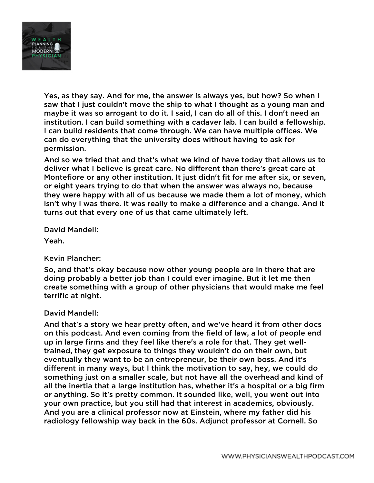

Yes, as they say. And for me, the answer is always yes, but how? So when I saw that I just couldn't move the ship to what I thought as a young man and maybe it was so arrogant to do it. I said, I can do all of this. I don't need an institution. I can build something with a cadaver lab. I can build a fellowship. I can build residents that come through. We can have multiple offices. We can do everything that the university does without having to ask for permission.

And so we tried that and that's what we kind of have today that allows us to deliver what I believe is great care. No different than there's great care at Montefiore or any other institution. It just didn't fit for me after six, or seven, or eight years trying to do that when the answer was always no, because they were happy with all of us because we made them a lot of money, which isn't why I was there. It was really to make a difference and a change. And it turns out that every one of us that came ultimately left.

David Mandell:

Yeah.

Kevin Plancher:

So, and that's okay because now other young people are in there that are doing probably a better job than I could ever imagine. But it let me then create something with a group of other physicians that would make me feel terrific at night.

### David Mandell:

And that's a story we hear pretty often, and we've heard it from other docs on this podcast. And even coming from the field of law, a lot of people end up in large firms and they feel like there's a role for that. They get welltrained, they get exposure to things they wouldn't do on their own, but eventually they want to be an entrepreneur, be their own boss. And it's different in many ways, but I think the motivation to say, hey, we could do something just on a smaller scale, but not have all the overhead and kind of all the inertia that a large institution has, whether it's a hospital or a big firm or anything. So it's pretty common. It sounded like, well, you went out into your own practice, but you still had that interest in academics, obviously. And you are a clinical professor now at Einstein, where my father did his radiology fellowship way back in the 60s. Adjunct professor at Cornell. So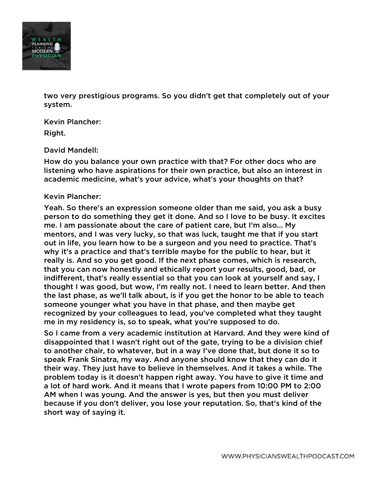

two very prestigious programs. So you didn't get that completely out of your system.

Kevin Plancher: Right.

#### David Mandell:

How do you balance your own practice with that? For other docs who are listening who have aspirations for their own practice, but also an interest in academic medicine, what's your advice, what's your thoughts on that?

#### Kevin Plancher:

Yeah. So there's an expression someone older than me said, you ask a busy person to do something they get it done. And so I love to be busy. It excites me. I am passionate about the care of patient care, but I'm also... My mentors, and I was very lucky, so that was luck, taught me that if you start out in life, you learn how to be a surgeon and you need to practice. That's why it's a practice and that's terrible maybe for the public to hear, but it really is. And so you get good. If the next phase comes, which is research, that you can now honestly and ethically report your results, good, bad, or indifferent, that's really essential so that you can look at yourself and say, I thought I was good, but wow, I'm really not. I need to learn better. And then the last phase, as we'll talk about, is if you get the honor to be able to teach someone younger what you have in that phase, and then maybe get recognized by your colleagues to lead, you've completed what they taught me in my residency is, so to speak, what you're supposed to do.

So I came from a very academic institution at Harvard. And they were kind of disappointed that I wasn't right out of the gate, trying to be a division chief to another chair, to whatever, but in a way I've done that, but done it so to speak Frank Sinatra, my way. And anyone should know that they can do it their way. They just have to believe in themselves. And it takes a while. The problem today is it doesn't happen right away. You have to give it time and a lot of hard work. And it means that I wrote papers from 10:00 PM to 2:00 AM when I was young. And the answer is yes, but then you must deliver because if you don't deliver, you lose your reputation. So, that's kind of the short way of saying it.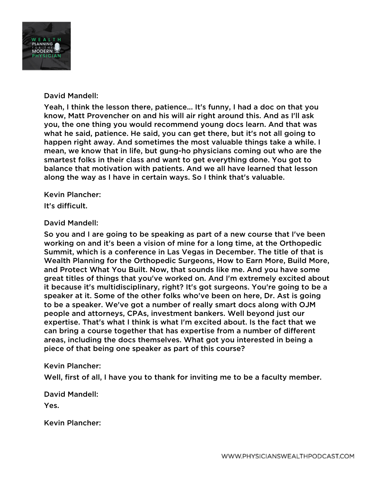

## David Mandell:

Yeah, I think the lesson there, patience... It's funny, I had a doc on that you know, Matt Provencher on and his will air right around this. And as I'll ask you, the one thing you would recommend young docs learn. And that was what he said, patience. He said, you can get there, but it's not all going to happen right away. And sometimes the most valuable things take a while. I mean, we know that in life, but gung-ho physicians coming out who are the smartest folks in their class and want to get everything done. You got to balance that motivation with patients. And we all have learned that lesson along the way as I have in certain ways. So I think that's valuable.

Kevin Plancher:

It's difficult.

## David Mandell:

So you and I are going to be speaking as part of a new course that I've been working on and it's been a vision of mine for a long time, at the Orthopedic Summit, which is a conference in Las Vegas in December. The title of that is Wealth Planning for the Orthopedic Surgeons, How to Earn More, Build More, and Protect What You Built. Now, that sounds like me. And you have some great titles of things that you've worked on. And I'm extremely excited about it because it's multidisciplinary, right? It's got surgeons. You're going to be a speaker at it. Some of the other folks who've been on here, Dr. Ast is going to be a speaker. We've got a number of really smart docs along with OJM people and attorneys, CPAs, investment bankers. Well beyond just our expertise. That's what I think is what I'm excited about. Is the fact that we can bring a course together that has expertise from a number of different areas, including the docs themselves. What got you interested in being a piece of that being one speaker as part of this course?

### Kevin Plancher:

Well, first of all, I have you to thank for inviting me to be a faculty member.

David Mandell:

Yes.

Kevin Plancher: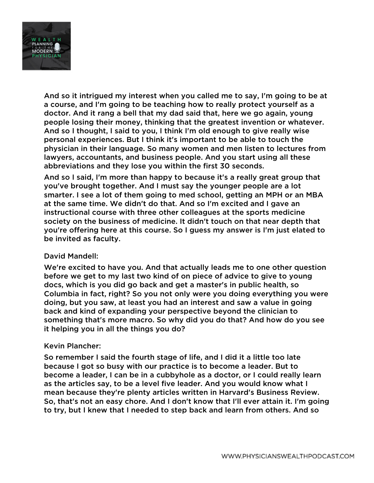

And so it intrigued my interest when you called me to say, I'm going to be at a course, and I'm going to be teaching how to really protect yourself as a doctor. And it rang a bell that my dad said that, here we go again, young people losing their money, thinking that the greatest invention or whatever. And so I thought, I said to you, I think I'm old enough to give really wise personal experiences. But I think it's important to be able to touch the physician in their language. So many women and men listen to lectures from lawyers, accountants, and business people. And you start using all these abbreviations and they lose you within the first 30 seconds.

And so I said, I'm more than happy to because it's a really great group that you've brought together. And I must say the younger people are a lot smarter. I see a lot of them going to med school, getting an MPH or an MBA at the same time. We didn't do that. And so I'm excited and I gave an instructional course with three other colleagues at the sports medicine society on the business of medicine. It didn't touch on that near depth that you're offering here at this course. So I guess my answer is I'm just elated to be invited as faculty.

### David Mandell:

We're excited to have you. And that actually leads me to one other question before we get to my last two kind of on piece of advice to give to young docs, which is you did go back and get a master's in public health, so Columbia in fact, right? So you not only were you doing everything you were doing, but you saw, at least you had an interest and saw a value in going back and kind of expanding your perspective beyond the clinician to something that's more macro. So why did you do that? And how do you see it helping you in all the things you do?

### Kevin Plancher:

So remember I said the fourth stage of life, and I did it a little too late because I got so busy with our practice is to become a leader. But to become a leader, I can be in a cubbyhole as a doctor, or I could really learn as the articles say, to be a level five leader. And you would know what I mean because they're plenty articles written in Harvard's Business Review. So, that's not an easy chore. And I don't know that I'll ever attain it. I'm going to try, but I knew that I needed to step back and learn from others. And so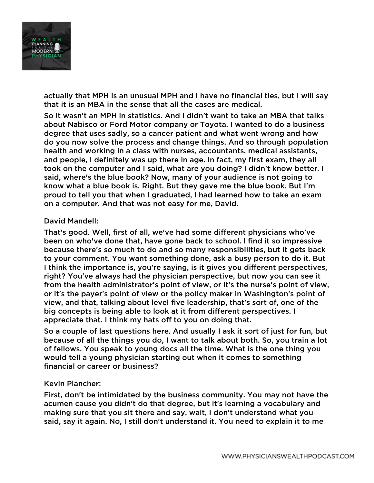

actually that MPH is an unusual MPH and I have no financial ties, but I will say that it is an MBA in the sense that all the cases are medical.

So it wasn't an MPH in statistics. And I didn't want to take an MBA that talks about Nabisco or Ford Motor company or Toyota. I wanted to do a business degree that uses sadly, so a cancer patient and what went wrong and how do you now solve the process and change things. And so through population health and working in a class with nurses, accountants, medical assistants, and people, I definitely was up there in age. In fact, my first exam, they all took on the computer and I said, what are you doing? I didn't know better. I said, where's the blue book? Now, many of your audience is not going to know what a blue book is. Right. But they gave me the blue book. But I'm proud to tell you that when I graduated, I had learned how to take an exam on a computer. And that was not easy for me, David.

## David Mandell:

That's good. Well, first of all, we've had some different physicians who've been on who've done that, have gone back to school. I find it so impressive because there's so much to do and so many responsibilities, but it gets back to your comment. You want something done, ask a busy person to do it. But I think the importance is, you're saying, is it gives you different perspectives, right? You've always had the physician perspective, but now you can see it from the health administrator's point of view, or it's the nurse's point of view, or it's the payer's point of view or the policy maker in Washington's point of view, and that, talking about level five leadership, that's sort of, one of the big concepts is being able to look at it from different perspectives. I appreciate that. I think my hats off to you on doing that.

So a couple of last questions here. And usually I ask it sort of just for fun, but because of all the things you do, I want to talk about both. So, you train a lot of fellows. You speak to young docs all the time. What is the one thing you would tell a young physician starting out when it comes to something financial or career or business?

### Kevin Plancher:

First, don't be intimidated by the business community. You may not have the acumen cause you didn't do that degree, but it's learning a vocabulary and making sure that you sit there and say, wait, I don't understand what you said, say it again. No, I still don't understand it. You need to explain it to me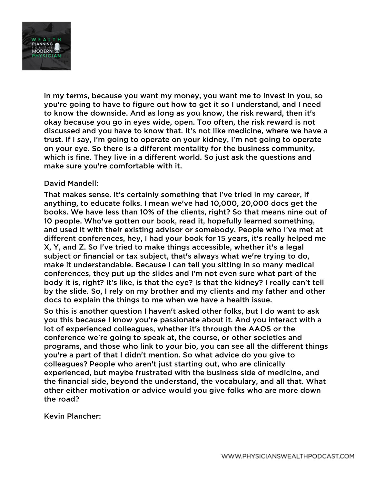

in my terms, because you want my money, you want me to invest in you, so you're going to have to figure out how to get it so I understand, and I need to know the downside. And as long as you know, the risk reward, then it's okay because you go in eyes wide, open. Too often, the risk reward is not discussed and you have to know that. It's not like medicine, where we have a trust. If I say, I'm going to operate on your kidney, I'm not going to operate on your eye. So there is a different mentality for the business community, which is fine. They live in a different world. So just ask the questions and make sure you're comfortable with it.

### David Mandell:

That makes sense. It's certainly something that I've tried in my career, if anything, to educate folks. I mean we've had 10,000, 20,000 docs get the books. We have less than 10% of the clients, right? So that means nine out of 10 people. Who've gotten our book, read it, hopefully learned something, and used it with their existing advisor or somebody. People who I've met at different conferences, hey, I had your book for 15 years, it's really helped me X, Y, and Z. So I've tried to make things accessible, whether it's a legal subject or financial or tax subject, that's always what we're trying to do, make it understandable. Because I can tell you sitting in so many medical conferences, they put up the slides and I'm not even sure what part of the body it is, right? It's like, is that the eye? Is that the kidney? I really can't tell by the slide. So, I rely on my brother and my clients and my father and other docs to explain the things to me when we have a health issue.

So this is another question I haven't asked other folks, but I do want to ask you this because I know you're passionate about it. And you interact with a lot of experienced colleagues, whether it's through the AAOS or the conference we're going to speak at, the course, or other societies and programs, and those who link to your bio, you can see all the different things you're a part of that I didn't mention. So what advice do you give to colleagues? People who aren't just starting out, who are clinically experienced, but maybe frustrated with the business side of medicine, and the financial side, beyond the understand, the vocabulary, and all that. What other either motivation or advice would you give folks who are more down the road?

Kevin Plancher: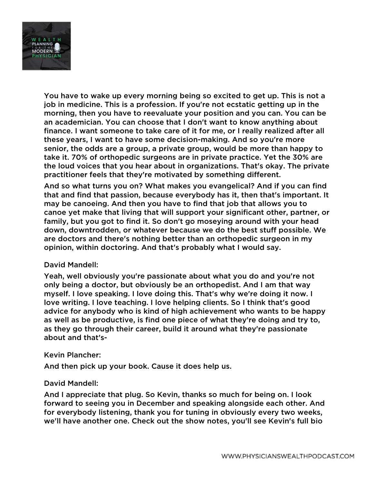

You have to wake up every morning being so excited to get up. This is not a job in medicine. This is a profession. If you're not ecstatic getting up in the morning, then you have to reevaluate your position and you can. You can be an academician. You can choose that I don't want to know anything about finance. I want someone to take care of it for me, or I really realized after all these years, I want to have some decision-making. And so you're more senior, the odds are a group, a private group, would be more than happy to take it. 70% of orthopedic surgeons are in private practice. Yet the 30% are the loud voices that you hear about in organizations. That's okay. The private practitioner feels that they're motivated by something different.

And so what turns you on? What makes you evangelical? And if you can find that and find that passion, because everybody has it, then that's important. It may be canoeing. And then you have to find that job that allows you to canoe yet make that living that will support your significant other, partner, or family, but you got to find it. So don't go moseying around with your head down, downtrodden, or whatever because we do the best stuff possible. We are doctors and there's nothing better than an orthopedic surgeon in my opinion, within doctoring. And that's probably what I would say.

### David Mandell:

Yeah, well obviously you're passionate about what you do and you're not only being a doctor, but obviously be an orthopedist. And I am that way myself. I love speaking. I love doing this. That's why we're doing it now. I love writing. I love teaching. I love helping clients. So I think that's good advice for anybody who is kind of high achievement who wants to be happy as well as be productive, is find one piece of what they're doing and try to, as they go through their career, build it around what they're passionate about and that's-

### Kevin Plancher:

And then pick up your book. Cause it does help us.

### David Mandell:

And I appreciate that plug. So Kevin, thanks so much for being on. I look forward to seeing you in December and speaking alongside each other. And for everybody listening, thank you for tuning in obviously every two weeks, we'll have another one. Check out the show notes, you'll see Kevin's full bio